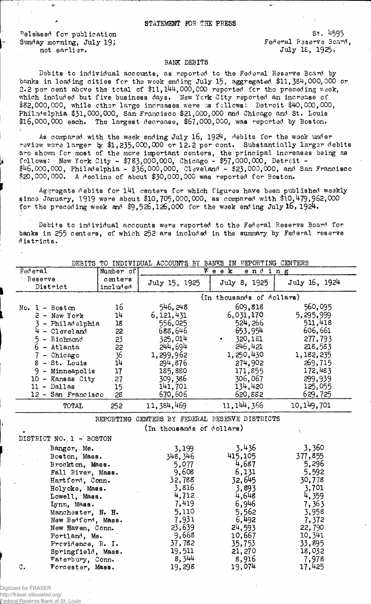Released for publication Sunday morning, July 19; not earlier.

http://fraser.stlouisfed.org/ Reserve Bank of

 $St.$  4595 Federal Reserve Board. July 18, 1925.

## BANK DEBITS

Debits to individual accounts, as reported to the Federal Reserve Board by banks in leading cities for the week ending July 15, aggregated \$11,384,000,000 or 2.2 per cent above the total of \$11,144,000,000 reported for the preceding week, which included but five business days. New York City reported an increase of \$82,000,000, while other large increases were as follows: Detroit \$40,000,000, Philadelphia \$31,000,000, San Francisco \$21,000,000 and Chicago and St. Louis \$16,000,000 each. The largest decrease, \$67,000,000, was reported by Boston.

As compared with the week ending July 16, 1924, debits for the week under review were larger by \$1,235,000,000 or 12.2 per cent. Substantially larger debits<br>are shown for most of the more important centers, the principal increases being as<br>follows: New York City - \$783,000,000, Chicago - \$57,000

Aggregate debits for 141 centers for which figures have been published weekly since January, 1919 were about \$10,705,000,000, as compared with \$10,479,962,000 for the preceding week and  $$9,526,126,000$  for the week ending July 16, 1924.

Debits to individual accounts were reported to the Federal Reserve Board for banks in 255 centers, of which 252 are included in the summary by Federal reserve districts.

| Federal        |                                        | Number of |               | DEBITS TO INDIVIDUAL ACCOUNTS BY BANKS IN REPORTING CENTERS<br>$\overline{W}$ e e k<br>ending |               |
|----------------|----------------------------------------|-----------|---------------|-----------------------------------------------------------------------------------------------|---------------|
| Reserve        |                                        | centers   |               |                                                                                               |               |
|                | District                               | included  | July 15, 1925 | July 8, 1925                                                                                  | July 16, 1924 |
|                |                                        |           |               | (In thousands of dollars)                                                                     |               |
|                | No. $1 - Boston$                       | 16        | 546, 248      | 609,818                                                                                       | 560,095       |
|                | $2 - New York$                         | 14        | 6,121,431     | 6,031,170                                                                                     | 5,295,999     |
|                | 3 - Philadelphia                       | 18        | 556,025       | 524, 266                                                                                      | 511,418       |
|                | $4 - 21$ evel and                      | 22        | 688,646       | 653,954                                                                                       | 606,661       |
|                | 5 - Richmond                           | 23        | 325,014       | 320,181                                                                                       | 277,793       |
|                | 6 - Atlanta                            | 22        | 244,694       | 246,421                                                                                       | 218,583       |
|                | $7$ - Chicago                          | 36        | 1,299,962     | 1,250,430                                                                                     | 1,182,235     |
|                | 8 - St. Louis                          | 14        | 294,876       | 274,902                                                                                       | 269,715       |
|                | $9 -$ Minneapolis                      | 17        | 185,880       | 171,855                                                                                       | 172,483       |
|                | 10 - Kansas City                       | 27        | 309,386       | 306,067                                                                                       | 299,939       |
|                | $11 - Dal$ las                         | 15        | 141,701       | 134,420                                                                                       | 125,055       |
|                | 12 - San Francisco                     | 28        | 670,606       | 620,882                                                                                       | 629,725       |
|                | <b>TOTAL</b>                           | 252       | 11, 384, 469  | 11, 144, 366                                                                                  | 10, 149, 701  |
|                | DISTRICT NO. 1 - BOSTON<br>Bangor, Me. |           | 3,199         | 3,436                                                                                         | Ń,<br>3,360   |
|                | Boston, Mass.                          |           | 348, 346      | 415,105                                                                                       | 377,855       |
|                | Brockton, Mass.                        |           | 5,077         | 4,687                                                                                         | 5,296         |
|                | Fall River, Mass.                      |           | 9,608         | 6,131                                                                                         | 5,592         |
|                | Hartford, Conn.                        |           | 32,788        | 32,645                                                                                        | 30,778        |
|                | Holyoke, Mass.                         |           | 3,816         | 3,893                                                                                         | 3,701         |
|                | Lowell, Mass.                          |           | 4,712         | 4,648                                                                                         | 4,359         |
|                | Lynn, Mass.                            |           | 7,419         | 6,946                                                                                         | 7,363         |
|                | Manchester, N. H.                      |           | 5,110         | 5,562                                                                                         | 3,958         |
|                | New Bedford, Mass.                     |           | 7,931         | 6,492                                                                                         | 7,372         |
|                | New Haven, Conn.                       |           | 23,639        | 24,593                                                                                        | 22,790        |
|                | Portland, Me.                          |           | 9,668         | 10,667                                                                                        | 10,341        |
|                | Providence, R. I.                      |           | 37,782        | 35,753                                                                                        | 33,895        |
|                | Springfield, Mass.                     |           | 19,511        | 21,270                                                                                        | 18,032        |
|                | Waterbury, Conn.                       |           | 8,344         | 8,916                                                                                         | 7,978         |
| $\mathbb{C}$ . | Worcester, Mass.                       |           | 19,298        | 19,074                                                                                        | 17,425        |
|                |                                        |           |               |                                                                                               |               |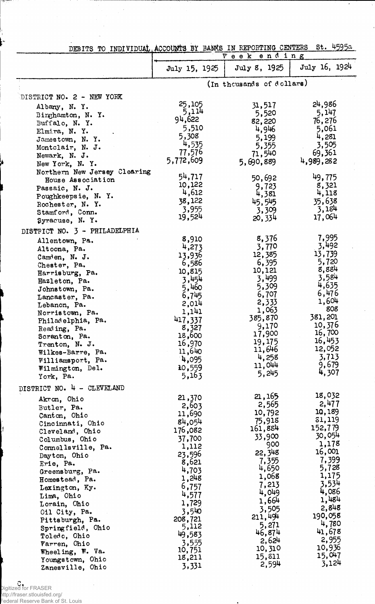| DEBITS TO INDIVIDUAL ACCOUNTS BY BANKS IN REPORTING CENTERS |                 |                           | st. 4595a         |
|-------------------------------------------------------------|-----------------|---------------------------|-------------------|
|                                                             |                 | ending<br>$V$ e e $k$     |                   |
|                                                             | July 15, 1925   | July 8, 1925              | July 16, 1924     |
|                                                             |                 | (In thousands of dollars) |                   |
| DISTRICT NO. 2 - NEW YORK                                   |                 |                           |                   |
|                                                             | 25,105          | 31,517                    | 24,986            |
| Albany, N.Y.<br>Binghamton, N. Y.                           | 5,114           | 5,520                     | 5,147             |
| Buffalo, N. Y.                                              | 94,622          | 82,220                    | 76,276            |
| Elmira, N. Y.                                               | 5,510           | 4,946                     | 5,061             |
| Jamestown, N.Y.                                             | 5,308           | 5,199                     | 4,281             |
| Montclair, N. J.                                            | 4,535           | 5,355                     | 3,505             |
| Newark, N. J.                                               | 77,576          | 71,540                    | 69,361            |
| New York, N.Y.                                              | 5,772,609       | 5,690,889                 | 4,989,282         |
| Northern New Jersey Clearing                                | 54,717          |                           | 49,775            |
| House Association                                           | 10,122          | 50,692<br>9,723           | 8,321             |
| Passaic, N. J.                                              | 4,612           | 4,381                     | 4,118             |
| Poughkeepsie, N.Y.                                          | 38,122          | 45,545                    | 35,638            |
| Rochester, N. Y.<br>Stamford, Conn.                         | 3,955           | 3,309                     | 3,184             |
| Syracuse, N. Y.                                             | 19,524          | 20,334                    | 17,064            |
| DISTRICT NO. 3 - PHILADELPHIA                               |                 |                           |                   |
|                                                             | 8,910           | 8,376                     | 7,995             |
| Allentown, Pa.<br>Altoona, Pa.                              | 4,273           | 3,770                     | 3,492             |
| Camden, N. J.                                               | 13,936          | 12,385                    | 13,739            |
| Chester, Pa.                                                | 6,586           | 6,395                     | 5,720             |
| Harrisburg, Pa.                                             | 10,815          | 10,121                    | 8,884             |
| Hazleton, Pa.                                               | 3,454           | 3,499                     | 3,584             |
| Johnstown, Pa.                                              | 5,460           | 5,309                     | 4,635             |
| Lancaster, Pa.                                              | 6,745           | 6,707                     | 6,476             |
| Lebanon, Pa.                                                | 2,014           | 2,333                     | 1,604<br>808      |
| Norristown, Pa.                                             | 1,141           | 1,063<br>385,870          | 381,201           |
| Philadelphia, Pa.                                           | 417,337         | 9,170                     | 10,376            |
| Reading, Pa.                                                | 8,327<br>18,600 | 17,900                    | 16,700            |
| Scranton, Pa.<br>Trenton, N.J.                              | 16,970          | 19,175                    | 16,453            |
| Wilkes-Barre, Pa.                                           | 11,640          | 11,646                    | 12,052            |
| Williamsport, Pa.                                           | 4,095           | 4,258                     | 3,713             |
| Wilmington, Del.                                            | 10,559          | 11,044                    | 9,679             |
| York, Pa.                                                   | 5,163           | 5,245                     | 4,307             |
| DISTRICT NO. 4 - CLEVELAND                                  |                 |                           |                   |
| Akron, Ohio                                                 | 21,370          | 21,165                    | 18,032            |
| Butler, Pa.                                                 | 2,603           | 2,565                     | 2,477             |
| Canton, Ohio                                                | 11,690          | 10,792                    | 10,189            |
| Cincinnati, Ohio                                            | 84,054          | 75,918                    | 31,119            |
| Cleveland, Ohio                                             | 176,082         | 161,884                   | 152,779<br>30,054 |
| Columbus, Ohio                                              | 37,700          | 33,900<br>900             | 1,178             |
| Connellsville, Pa.                                          | 1,112           | 22,348                    | 16,001            |
| Dayton, Ohio                                                | 23,596<br>8,621 | 7,355                     | 7,399             |
| Erie, Pa.                                                   | 4,703           | 4,650                     | 5,728             |
| Greensburg, Pa.<br>Homestead, Pa.                           | 1,248           | 1,068                     | 1,175             |
| Lexington, Ky.                                              | 6,757           | 7,213                     | 3,534             |
| Lima, Ohio                                                  | 4,577           | 4,049                     | 4,086             |
| Lorain, Chio                                                | 1,729           | 1,664                     | 1,484             |
| Oil City, Pa.                                               | 3,540           | 3,505                     | 2,848             |
| Pittsburgh, Pa.                                             | 208,721         | 211,494                   | 190,058           |
| Springfield, Ohio                                           | 5,112           | 5,271                     | 4,780             |
| Toledo, Ohio                                                | 49,583          | 46,874                    | 41,678            |
| Varren, Ohio                                                | 3,555           | 2,624                     | 2,955<br>10,936   |
| Wheeling, W. Va.                                            | 10,751          | 10,310<br>15,811          | 15,047            |
| Youngstown, Ohio                                            | 18,211          | 2,594                     | 3,124             |
| Zanesville, Ohio                                            | 3,331           |                           |                   |

Digitized for FRASER http://fraser.stlouisfed.org/ Federal Reserve Bank of St. Louis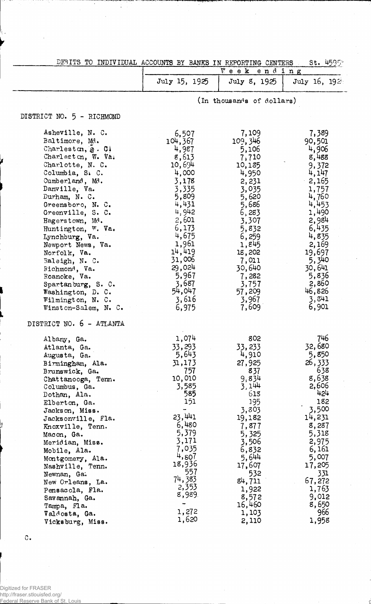|                                 | DEBITS TO INDIVIDUAL ACCOUNTS BY BANKS IN REPORTING CENTERS<br>St. 4595*<br>Week ending |                           |                 |
|---------------------------------|-----------------------------------------------------------------------------------------|---------------------------|-----------------|
|                                 | July 15, 1925                                                                           | July 8, 1925              | July 16, 1924   |
|                                 |                                                                                         | (In thousands of dollars) |                 |
| DISTRICT NO. 5 - RICHMOND       |                                                                                         |                           |                 |
| Asheville, N. C.                | 6,507                                                                                   | 7,109                     | 7,389           |
| Baltimore, Md.                  | 104,367                                                                                 | 109,346                   | 90,501          |
| Charleston, §. C.               | 4,987                                                                                   | 5,106                     | 4,906           |
| Charleston, W. Va.              | 8,613                                                                                   | 7,710                     | 8,488           |
| Charlotte, N. C.                | 10,694                                                                                  | 10,185                    | 9,372           |
| Columbia, S. C.                 | 4,000                                                                                   | 4,950                     | 4,147           |
| Cumberland, Md.                 | 3,178                                                                                   | 2,231                     | 2,165           |
| Danville, Va.                   | 3,335                                                                                   | 3,035                     | 1,757           |
| Durham, N. C.                   | 5,809                                                                                   | 5,620                     | 4,760           |
| Greensboro, N. C.               | 4,431                                                                                   | 5,686                     | 4,453           |
| Greenville, S. C.               | 4,942                                                                                   | 6,283                     | 1,490           |
| Hagerstown, Md.                 | 2,601                                                                                   | 3,307                     | 2,984           |
| Huntington, W. Va.              | 6,173                                                                                   | 5,832                     | 6,435           |
| Lynchburg, Va.                  | 4,675<br>1,961                                                                          | 6,259                     | 4,835           |
| Newport News, Va.               | 14,419                                                                                  | 1,845                     | 2,169           |
| Norfolk, Va.                    | 31,006                                                                                  | 18,202<br>7,011           | 19,697<br>5,340 |
| Raleigh, N. C.                  | 29,024                                                                                  | 30,640                    | 30,641          |
| Richmond, Va.<br>Roanoke, Va.   | 5,967                                                                                   | 7,282                     | 5,836           |
| Spartanburg, S. C.              | 3,687                                                                                   | 3,757                     | 2,860           |
| Washington, D. C.               | 54,047                                                                                  | 57,209                    | 46,826          |
| Wilmington, N. C.               | 3,616                                                                                   | 3,967                     | 3,841           |
| Winston-Salem, N. C.            | 6,975                                                                                   | 7,609                     | 6,901           |
| DISTRICT NO. 6 - ATLANTA        |                                                                                         |                           |                 |
| Albany, Ga.                     | 1,074                                                                                   | 802                       | 746             |
| Atlanta, Ga.                    | 33,293                                                                                  | 33,233                    | 32,680          |
| Augusta, Ga.                    | 5,643                                                                                   | 4,910                     | 5,850           |
| Birmingham, Ala.                | 31,173                                                                                  | 27,925                    | 26,333          |
| Brunswick, Ga.                  | 757                                                                                     | 837                       | 638             |
| Chattanooga, Tenn.              | 10,010                                                                                  | 9.834                     | 8,638           |
| Columbus, Ga.                   | 3,585                                                                                   | 3,144                     | 2,606           |
| Dothan, Ala.                    | 585                                                                                     | 618                       | 454             |
| Elberton, Ga.                   | 151                                                                                     | 195                       | 182<br>3,500    |
| Jackson, Miss.                  | 23,441                                                                                  | 3,803                     |                 |
| Jacksonville, Fla.              | 6,480                                                                                   | 19,182                    | 14,231<br>8,287 |
| Knoxville, Tenn.                | 5,379                                                                                   | 7,877<br>5,325            | 5,318           |
| Macon, Ga.                      | 3,171                                                                                   | 3,506                     | 2,975           |
| Meridian, Miss.<br>Mobile, Ala. | 7,035                                                                                   | 6,832                     | 6,161           |
| Montgomery, Ala.                | 4,807                                                                                   | 5,644                     | 5,007           |
| Nashville, Tenn.                | 18,936                                                                                  | 17,607                    | 17,205          |
| Newnan, Ga.                     | 557                                                                                     | 532                       | 331             |
| New Orleans, La.                | 74,383                                                                                  | 84,711                    | 67,272          |
| Pensacola, Fla.                 | 2,353                                                                                   | 1,922                     | 1,763           |
| Savannah, Ga.                   | 8,989.                                                                                  | 8,572                     | 9,012           |
| Tampa, Fla.                     |                                                                                         | 16,460                    | 8,650           |
| Valdosta, Ga.                   | 1,272                                                                                   | 1,103                     | 966             |
| Vicksburg, Miss.                | 1,620                                                                                   | 2,110                     | 1,958           |

 $\mathbb{C}$ .

:<br>Digitized for FRASER<br>http://fraser.stlouisfed.org/<br><u>Federal Reserv</u>e Bank of St. Louis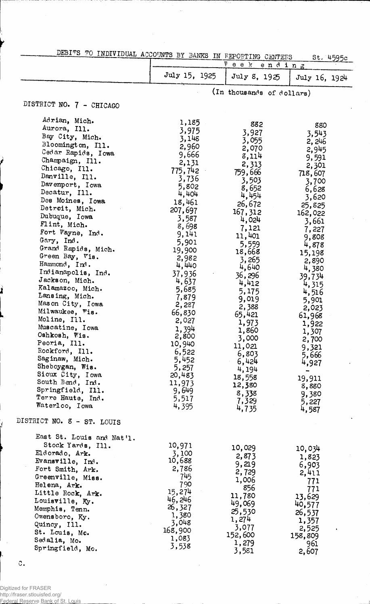| DEBITS TO INDIVIDUAL ACCOUNTS BY BANKS IN REPORTING CENTERS                                                                                                                                                                                                                                                                                                                                                                                                                                                                                                                                                                                                                                                                                 |                                                                                                                                                                                                                                                                                                                                                      |                                                                                                                                                                                                                                                                                                                                                      | St. 4595c                                                                                                                                                                                                                                                                                                                               |
|---------------------------------------------------------------------------------------------------------------------------------------------------------------------------------------------------------------------------------------------------------------------------------------------------------------------------------------------------------------------------------------------------------------------------------------------------------------------------------------------------------------------------------------------------------------------------------------------------------------------------------------------------------------------------------------------------------------------------------------------|------------------------------------------------------------------------------------------------------------------------------------------------------------------------------------------------------------------------------------------------------------------------------------------------------------------------------------------------------|------------------------------------------------------------------------------------------------------------------------------------------------------------------------------------------------------------------------------------------------------------------------------------------------------------------------------------------------------|-----------------------------------------------------------------------------------------------------------------------------------------------------------------------------------------------------------------------------------------------------------------------------------------------------------------------------------------|
|                                                                                                                                                                                                                                                                                                                                                                                                                                                                                                                                                                                                                                                                                                                                             |                                                                                                                                                                                                                                                                                                                                                      | $V$ e e k<br>ending                                                                                                                                                                                                                                                                                                                                  |                                                                                                                                                                                                                                                                                                                                         |
|                                                                                                                                                                                                                                                                                                                                                                                                                                                                                                                                                                                                                                                                                                                                             | July 15, 1925                                                                                                                                                                                                                                                                                                                                        | July 8, 1925                                                                                                                                                                                                                                                                                                                                         | July 16, 1924                                                                                                                                                                                                                                                                                                                           |
|                                                                                                                                                                                                                                                                                                                                                                                                                                                                                                                                                                                                                                                                                                                                             |                                                                                                                                                                                                                                                                                                                                                      | (In thousands of dollars)                                                                                                                                                                                                                                                                                                                            |                                                                                                                                                                                                                                                                                                                                         |
| DISTRICT NO. 7 - CHICAGO                                                                                                                                                                                                                                                                                                                                                                                                                                                                                                                                                                                                                                                                                                                    |                                                                                                                                                                                                                                                                                                                                                      |                                                                                                                                                                                                                                                                                                                                                      |                                                                                                                                                                                                                                                                                                                                         |
| Adrian, Mich.<br>Aurora, Ill.<br>Bay City, Mich.<br>Bloomington, Ill.<br>Cedar Rapids, Iowa<br>Champaign, Ill.<br>Chicago, Ill.<br>Danville, Ill.<br>Davenport, Iowa<br>Decatur, Ill.<br>Des Moines, Iowa<br>Detroit, Mich.<br>Dubuque, Iowa<br>Flint, Mich.<br>Fort Wayne, Ind.<br>Gary, Ind.<br>Grand Rapids, Mich.<br>Green Bay, Vis.<br>Hammond, Ind.<br>Indianapolis, Ind.<br>Jackson, Mich.<br>Kalamazoo, Mich.<br>Lansing, Mich.<br>Mason City, Iowa<br>Milwaukee, Wis.<br>Moline, Ill.<br>Muscatine, Iowa<br>Oshkosh, Wis.<br>Peoria, Ill.<br>Rockford, Ill.<br>Saginaw, Mich.<br>Sheboygan, Wis.<br>Sioux City, Iowa<br>South Bend, Ind.<br>Springfield, Ill.<br>Terre Haute, Ind.<br>Waterloo, Iowa<br>DISTRICT NO. 8 - ST. LOUIS | 1,185<br>3,975<br>3,148<br>2,960<br>9,666<br>2,131<br>775,742<br>3,736<br>5,802<br>4,404<br>18,461<br>207,697<br>3,587<br>8,698<br>9,141<br>5,901<br>19,900<br>2,982<br>4,440<br>37,936<br>4,637<br>5,685<br>7,879<br>2,287<br>66,830<br>2,027<br>1,394<br>2,800<br>10,940<br>6,522<br>5,452<br>5,257<br>20,483<br>11,973<br>9,649<br>5,517<br>4,395 | 882<br>3,927<br>3,055<br>2,070<br>3,114<br>2,313<br>759,666<br>3,503<br>8,652<br>4,454<br>26,672<br>167, 312<br>4,024<br>7,121<br>11,401<br>5,559<br>18,668<br>3,265<br>4,640<br>36,296<br>4,412<br>5,175<br>9,019<br>2,388<br>65,421<br>1,973<br>1,860<br>3,000<br>11,021<br>6,803<br>6,424<br>4,194<br>18,558<br>12,380<br>8,338<br>7,329<br>4,735 | 880<br>3,543<br>2,246<br>2,945<br>9,591<br>2,301<br>718,607<br>3,700<br>6,628<br>3,620<br>25,825<br>162,022<br>3,661<br>7,227<br>9,808<br>4,878<br>15,198<br>2,890<br>4,380<br>39,734<br>4,315<br>4,516<br>5,901<br>2,023<br>61,968<br>1,922<br>1,307<br>2,700<br>9,321<br>5,666<br>4,927<br>19,911<br>8,880<br>9,380<br>5,227<br>4,587 |
|                                                                                                                                                                                                                                                                                                                                                                                                                                                                                                                                                                                                                                                                                                                                             |                                                                                                                                                                                                                                                                                                                                                      |                                                                                                                                                                                                                                                                                                                                                      |                                                                                                                                                                                                                                                                                                                                         |
| East St. Louis and Nat'l.<br>Stock Yards, Ill.<br>Eldorado, Ark.<br>Evansville, Ind.<br>Fort Smith, Ark.<br>Greenville, Miss.<br>Helena, Ark.<br>Little Rock, Ark.<br>Louisville, Ky.<br>Memphis, Tenn.<br>Owensboro, Ky.<br>Quincy, Ill.<br>St. Louis, Mc.<br>Sedalia, Mo.<br>Springfield, Mo.                                                                                                                                                                                                                                                                                                                                                                                                                                             | 10,971<br>3,100<br>10,688<br>2,786<br>745<br>790<br>15,274<br>46,246<br>26,327<br>1,380<br>3,048<br>168,900<br>1,083<br>3,538                                                                                                                                                                                                                        | 10,029<br>2,873<br>9,219<br>2,729<br>1,006<br>856<br>11,780<br>49,069<br>25,530<br>1,274<br>3,077<br>152,600<br>1,279<br>3,581                                                                                                                                                                                                                       | 10,034<br>1,823<br>6,903<br>2,411<br>771<br>771<br>13,629<br>40,577<br>26,537<br>1,357<br>2,525<br>$\pmb{\ast}$<br>158,809<br>961<br>2,607                                                                                                                                                                                              |

 $\circ$ .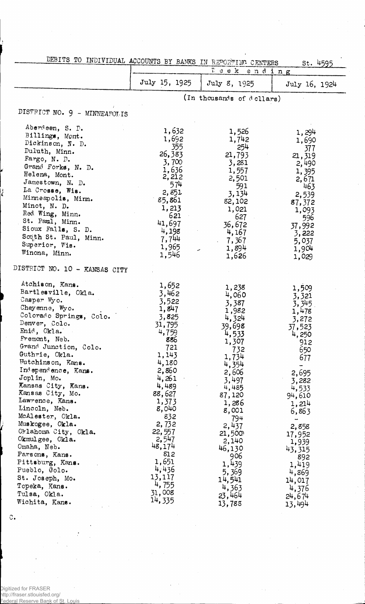| DEBITS TO INDIVIDUAL ACCOUNTS BY BANKS IN REPORTING CENTERS                                                                                                                                                                                                                                                                                                                                                                                                                                                                                                           |                                                                                                                                                                                                                                                                   |                                                                                                                                                                                                                                                                    | St. 4595                                                                                                                                                                                                                                                 |
|-----------------------------------------------------------------------------------------------------------------------------------------------------------------------------------------------------------------------------------------------------------------------------------------------------------------------------------------------------------------------------------------------------------------------------------------------------------------------------------------------------------------------------------------------------------------------|-------------------------------------------------------------------------------------------------------------------------------------------------------------------------------------------------------------------------------------------------------------------|--------------------------------------------------------------------------------------------------------------------------------------------------------------------------------------------------------------------------------------------------------------------|----------------------------------------------------------------------------------------------------------------------------------------------------------------------------------------------------------------------------------------------------------|
|                                                                                                                                                                                                                                                                                                                                                                                                                                                                                                                                                                       |                                                                                                                                                                                                                                                                   | Teek ending                                                                                                                                                                                                                                                        |                                                                                                                                                                                                                                                          |
|                                                                                                                                                                                                                                                                                                                                                                                                                                                                                                                                                                       | July 15, 1925                                                                                                                                                                                                                                                     | July 8, 1925                                                                                                                                                                                                                                                       | July 16, 1924                                                                                                                                                                                                                                            |
|                                                                                                                                                                                                                                                                                                                                                                                                                                                                                                                                                                       |                                                                                                                                                                                                                                                                   | (In thousands of dollars)                                                                                                                                                                                                                                          |                                                                                                                                                                                                                                                          |
| DISTRICT NO. 9 - MINNEAPOLIS                                                                                                                                                                                                                                                                                                                                                                                                                                                                                                                                          |                                                                                                                                                                                                                                                                   |                                                                                                                                                                                                                                                                    |                                                                                                                                                                                                                                                          |
| Aberdeen, S. D.<br>Billings, Mont.<br>Dickinson, N. D.<br>Duluth, Minn.<br>Fargo, N. D.<br>Grand Forks, N. D.<br>Helena, Mont.<br>Jamestown, N. D.<br>La Crosse, Wis.<br>Minneapolis, Minn.<br>Minot, N. D.<br>Red Wing, Minn.<br>St. Paul, Minn.<br>Sioux Falls, S. D.<br>South St. Paul, Minn.<br>Superior, Wis.                                                                                                                                                                                                                                                    | 1,632<br>1,692<br>355<br>26,383<br>3,700<br>1,636<br>2,212<br>574<br>2,851<br>85,861<br>1,213<br>621<br>41,697<br>4,198<br>7,744<br>1,965                                                                                                                         | 1,526<br>1,742<br>254<br>21,793<br>3,281<br>1,557<br>2,501<br>591<br>3,134<br>82,102<br>1,021<br>627<br>36,672<br>4,167<br>7,367<br>1,894                                                                                                                          | 1,294<br>1,690<br>377<br>21,319<br>2,490<br>1,395<br>2,671<br>463<br>2,539<br>87,372<br>1,093<br>596<br>37,992<br>3,222<br>5,037<br>1,904                                                                                                                |
| Winona, Minn.                                                                                                                                                                                                                                                                                                                                                                                                                                                                                                                                                         | 1,546                                                                                                                                                                                                                                                             | 1,626                                                                                                                                                                                                                                                              | 1,029                                                                                                                                                                                                                                                    |
| DISTRICT NO. 10 - KANSAS CITY                                                                                                                                                                                                                                                                                                                                                                                                                                                                                                                                         |                                                                                                                                                                                                                                                                   |                                                                                                                                                                                                                                                                    |                                                                                                                                                                                                                                                          |
| Atchison, Kans.<br>Bartlesville, Okla.<br>Casper Wyo.<br>Cheyenne, Wyo.<br>Colorado Springs, Colo.<br>Denver, Colo.<br>Enid, Okla.<br>Fremont, Neb.<br>Grand Junction, Colo.<br>Guthrie, Okla.<br>Hutchinson, Kans.<br>Independence, Kans.<br>Joplin, Mo.<br>Kansas City, Kans.<br>Kansas City, Mo.<br>Lawrence, Kans.<br>Lincoln, Neb.<br>McAlester, Okla.<br>Muskogee, Okla.<br>Oklahoma City, Okla.<br>Okmulgee, Okla.<br>Omaha, Neb.<br>Parsons, Kans.<br>Pittsburg, Kans.<br>Pueblo, Golo.<br>St. Joseph, Mo.<br>Topeka, Kans.<br>Tulsa, Okla.<br>Wichita, Kans. | 1,652<br>3,462<br>3,522<br>1,847<br>3,825<br>31,795<br>4,759<br>886<br>721<br>1,143<br>4,180<br>2,860<br>4,261<br>4,489<br>88,627<br>1,373<br>8,040<br>832<br>2,732<br>22,557<br>2,547<br>48,174<br>812<br>1,651<br>4,436<br>13,117<br>4,755<br>31,008<br>14, 335 | 1,238<br>4,060<br>3,387<br>1,982<br>4,324<br>39,698<br>4,533<br>1,307<br>732<br>1,734<br>4,354<br>2,606<br>3,497<br>4,485<br>87,120<br>1,286<br>8,001<br>794<br>2,437<br>21,500<br>2,140<br>46,130<br>906<br>1,439<br>5,369<br>14,541<br>4,363<br>23,464<br>13,788 | 1,509<br>3,321<br>3,345<br>1,478<br>3,272<br>37,523<br>4,250<br>912<br>650<br>677<br>-<br>2,695<br>3,282<br>4,533<br>94,610<br>1,214<br>6,863<br>-<br>2,858<br>17,952<br>1,939<br>43,315<br>892<br>1,419<br>4,869<br>14,017<br>4,376<br>24,674<br>13,494 |

Digitized for FRASER http://fraser.stlouisfed.org/ Federal Reserve Bank of St. Louis

 $\mathbb{C}$ .

ć